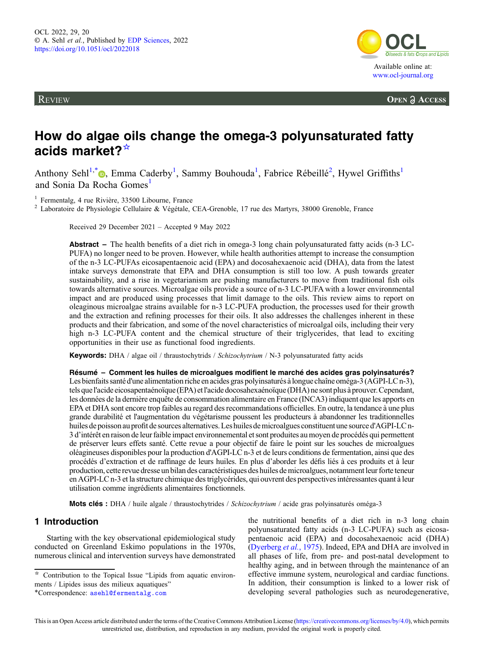**REVIEW** 



**OPEN A ACCESS** 

# How do algae oils change the omega-3 polyunsaturated fatty acids market?☆

Anthony Sehl<sup>1[,](https://orcid.org/0000-0001-6032-9391)\*</sup><sup>®</sup>, Emma Caderby<sup>1</sup>, Sammy Bouhouda<sup>1</sup>, Fabrice Rébeillé<sup>2</sup>, Hywel Griffiths<sup>1</sup> and Sonia Da Rocha Gomes<sup>1</sup>

<sup>1</sup> Fermentalg, 4 rue Rivière, 33500 Libourne, France  $\frac{2}{3}$  Laboratoire de Physiologie Cellulaire & Végétale, CEA-Grenoble, 17 rue des Martyrs, 38000 Grenoble, France

Received 29 December 2021 – Accepted 9 May 2022

Abstract – The health benefits of a diet rich in omega-3 long chain polyunsaturated fatty acids (n-3 LC-PUFA) no longer need to be proven. However, while health authorities attempt to increase the consumption of the n-3 LC-PUFAs eicosapentaenoic acid (EPA) and docosahexaenoic acid (DHA), data from the latest intake surveys demonstrate that EPA and DHA consumption is still too low. A push towards greater sustainability, and a rise in vegetarianism are pushing manufacturers to move from traditional fish oils towards alternative sources. Microalgae oils provide a source of n-3 LC-PUFA with a lower environmental impact and are produced using processes that limit damage to the oils. This review aims to report on oleaginous microalgae strains available for n-3 LC-PUFA production, the processes used for their growth and the extraction and refining processes for their oils. It also addresses the challenges inherent in these products and their fabrication, and some of the novel characteristics of microalgal oils, including their very high n-3 LC-PUFA content and the chemical structure of their triglycerides, that lead to exciting opportunities in their use as functional food ingredients.

Keywords: DHA / algae oil / thraustochytrids / Schizochytrium / N-3 polyunsaturated fatty acids

Résumé – Comment les huiles de microalgues modifient le marché des acides gras polyinsaturés? Les bienfaits santé d'une alimentation riche en acides gras polyinsaturés à longue chaîne oméga-3 (AGPI-LC n-3), tels quel'acide eicosapentaénoïque (EPA) etl'acide docosahexaénoïque (DHA) ne sont plus à prouver.Cependant, les données de la dernière enquête de consommation alimentaire en France (INCA3) indiquent que les apports en EPA et DHA sont encore trop faibles au regard des recommandations officielles. En outre, la tendance à une plus grande durabilité et l'augmentation du végétarisme poussent les producteurs à abandonner les traditionnelles huiles de poisson au profit de sources alternatives. Les huiles de microalgues constituent une source d'AGPI-LC n-3 d'intérêt en raison de leur faible impact environnemental et sont produites au moyen de procédés qui permettent de préserver leurs effets santé. Cette revue a pour objectif de faire le point sur les souches de microalgues oléagineuses disponibles pour la production d'AGPI-LC n-3 et de leurs conditions de fermentation, ainsi que des procédés d'extraction et de raffinage de leurs huiles. En plus d'aborder les défis liés à ces produits et à leur production, cette revue dresse un bilan des caractéristiques des huiles de microalgues, notammentleur forteteneur en AGPI-LC n-3 et la structure chimique des triglycérides, qui ouvrent des perspectives intéressantes quant à leur utilisation comme ingrédients alimentaires fonctionnels.

Mots clés : DHA / huile algale / thraustochytrides / Schizochytrium / acide gras polyinsaturés oméga-3

# 1 Introduction

Starting with the key observational epidemiological study conducted on Greenland Eskimo populations in the 1970s, numerous clinical and intervention surveys have demonstrated the nutritional benefits of a diet rich in n-3 long chain polyunsaturated fatty acids (n-3 LC-PUFA) such as eicosapentaenoic acid (EPA) and docosahexaenoic acid (DHA) ([Dyerberg](#page-10-0) et al., 1975). Indeed, EPA and DHA are involved in all phases of life, from pre- and post-natal development to healthy aging, and in between through the maintenance of an effective immune system, neurological and cardiac functions. In addition, their consumption is linked to a lower risk of developing several pathologies such as neurodegenerative,

<sup>☆</sup> Contribution to the Topical Issue "Lipids from aquatic environments / Lipides issus des milieux aquatiques"

<sup>\*</sup>Correspondence: [asehl@fermentalg.com](mailto:asehl@fermentalg.com)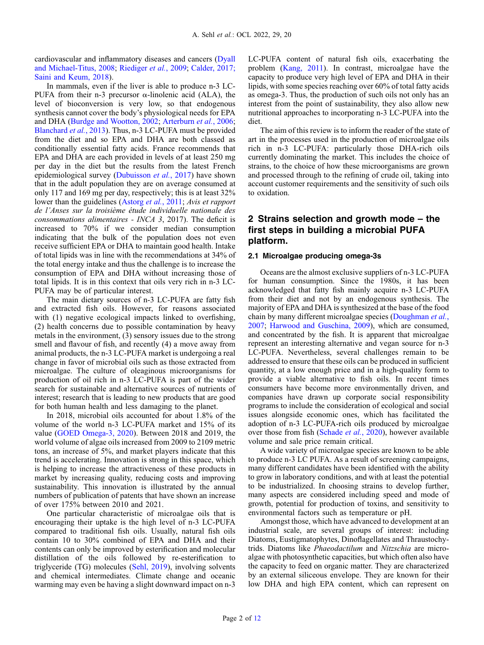cardiovascular and inflammatory diseases and cancers ([Dyall](#page-10-0) [and Michael-Titus, 2008](#page-10-0); [Riediger](#page-11-0) et al., 2009; [Calder, 2017;](#page-10-0) [Saini and Keum, 2018](#page-11-0)).

In mammals, even if the liver is able to produce n-3 LC-PUFA from their n-3 precursor  $\alpha$ -linolenic acid (ALA), the level of bioconversion is very low, so that endogenous synthesis cannot cover the body's physiological needs for EPA and DHA ([Burdge and Wootton, 2002;](#page-10-0) [Arterburn](#page-9-0) et al., 2006; [Blanchard](#page-10-0) et al., 2013). Thus, n-3 LC-PUFA must be provided from the diet and so EPA and DHA are both classed as conditionally essential fatty acids. France recommends that EPA and DHA are each provided in levels of at least 250 mg per day in the diet but the results from the latest French epidemiological survey [\(Dubuisson](#page-10-0) et al., 2017) have shown that in the adult population they are on average consumed at only 117 and 169 mg per day, respectively; this is at least 32% lower than the guidelines ([Astorg](#page-9-0) *et al.*, 2011; Avis *et rapport* de l'Anses sur la troisième étude individuelle nationale des consommations alimentaires - INCA 3, 2017). The deficit is increased to 70% if we consider median consumption indicating that the bulk of the population does not even receive sufficient EPA or DHA to maintain good health. Intake of total lipids was in line with the recommendations at 34% of the total energy intake and thus the challenge is to increase the consumption of EPA and DHA without increasing those of total lipids. It is in this context that oils very rich in n-3 LC-PUFA may be of particular interest.

The main dietary sources of n-3 LC-PUFA are fatty fish and extracted fish oils. However, for reasons associated with (1) negative ecological impacts linked to overfishing, (2) health concerns due to possible contamination by heavy metals in the environment, (3) sensory issues due to the strong smell and flavour of fish, and recently (4) a move away from animal products, the n-3 LC-PUFA market is undergoing a real change in favor of microbial oils such as those extracted from microalgae. The culture of oleaginous microorganisms for production of oil rich in n-3 LC-PUFA is part of the wider search for sustainable and alternative sources of nutrients of interest; research that is leading to new products that are good for both human health and less damaging to the planet.

In 2018, microbial oils accounted for about 1.8% of the volume of the world n-3 LC-PUFA market and 15% of its value ([GOED Omega-3, 2020](#page-10-0)). Between 2018 and 2019, the world volume of algae oils increased from 2009 to 2109 metric tons, an increase of 5%, and market players indicate that this trend is accelerating. Innovation is strong in this space, which is helping to increase the attractiveness of these products in market by increasing quality, reducing costs and improving sustainability. This innovation is illustrated by the annual numbers of publication of patents that have shown an increase of over 175% between 2010 and 2021.

One particular characteristic of microalgae oils that is encouraging their uptake is the high level of n-3 LC-PUFA compared to traditional fish oils. Usually, natural fish oils contain 10 to 30% combined of EPA and DHA and their contents can only be improved by esterification and molecular distillation of the oils followed by re-esterification to triglyceride (TG) molecules ([Sehl, 2019](#page-11-0)), involving solvents and chemical intermediates. Climate change and oceanic warming may even be having a slight downward impact on n-3

LC-PUFA content of natural fish oils, exacerbating the problem [\(Kang, 2011](#page-10-0)). In contrast, microalgae have the capacity to produce very high level of EPA and DHA in their lipids, with some species reaching over 60% of total fatty acids as omega-3. Thus, the production of such oils not only has an interest from the point of sustainability, they also allow new nutritional approaches to incorporating n-3 LC-PUFA into the diet.

The aim of this review is to inform the reader of the state of art in the processes used in the production of microalgae oils rich in n-3 LC-PUFA: particularly those DHA-rich oils currently dominating the market. This includes the choice of strains, to the choice of how these microorganisms are grown and processed through to the refining of crude oil, taking into account customer requirements and the sensitivity of such oils to oxidation.

## 2 Strains selection and growth mode – the first steps in building a microbial PUFA platform.

#### 2.1 Microalgae producing omega-3s

Oceans are the almost exclusive suppliers of n-3 LC-PUFA for human consumption. Since the 1980s, it has been acknowledged that fatty fish mainly acquire n-3 LC-PUFA from their diet and not by an endogenous synthesis. The majority of EPA and DHA is synthesized at the base of the food chain by many different microalgae species ([Doughman](#page-10-0) et al., [2007](#page-10-0); [Harwood and Guschina, 2009\)](#page-10-0), which are consumed, and concentrated by the fish. It is apparent that microalgae represent an interesting alternative and vegan source for n-3 LC-PUFA. Nevertheless, several challenges remain to be addressed to ensure that these oils can be produced in sufficient quantity, at a low enough price and in a high-quality form to provide a viable alternative to fish oils. In recent times consumers have become more environmentally driven, and companies have drawn up corporate social responsibility programs to include the consideration of ecological and social issues alongside economic ones, which has facilitated the adoption of n-3 LC-PUFA-rich oils produced by microalgae over those from fish [\(Schade](#page-11-0) *et al.*, 2020), however available volume and sale price remain critical.

A wide variety of microalgae species are known to be able to produce n-3 LC PUFA. As a result of screening campaigns, many different candidates have been identified with the ability to grow in laboratory conditions, and with at least the potential to be industrialized. In choosing strains to develop further, many aspects are considered including speed and mode of growth, potential for production of toxins, and sensitivity to environmental factors such as temperature or pH.

Amongst those, which have advanced to development at an industrial scale, are several groups of interest: including Diatoms, Eustigmatophytes, Dinoflagellates and Thraustochytrids. Diatoms like Phaeodactilum and Nitzschia are microalgae with photosynthetic capacities, but which often also have the capacity to feed on organic matter. They are characterized by an external siliceous envelope. They are known for their low DHA and high EPA content, which can represent on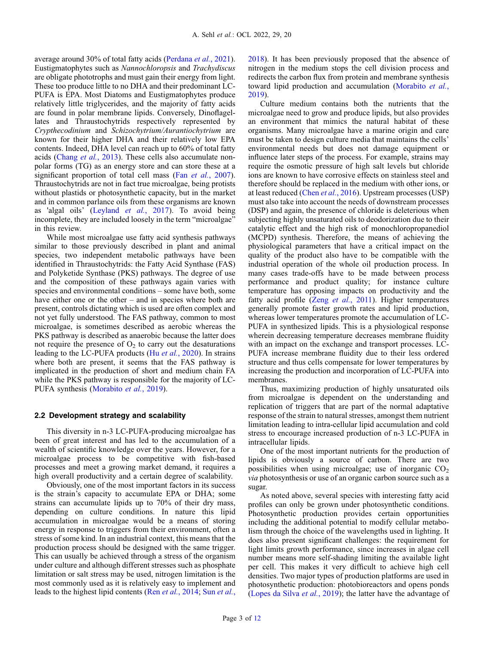average around 30% of total fatty acids ([Perdana](#page-11-0) et al., 2021). Eustigmatophytes such as Nannochloropsis and Trachydiscus are obligate phototrophs and must gain their energy from light. These too produce little to no DHA and their predominant LC-PUFA is EPA. Most Diatoms and Eustigmatophytes produce relatively little triglycerides, and the majority of fatty acids are found in polar membrane lipids. Conversely, Dinoflagellates and Thraustochytrids respectively represented by Crypthecodinium and Schizochytrium/Aurantiochytrium are known for their higher DHA and their relatively low EPA contents. Indeed, DHA level can reach up to 60% of total fatty acids (Chang et al.[, 2013\)](#page-10-0). These cells also accumulate nonpolar forms (TG) as an energy store and can store these at a significant proportion of total cell mass (Fan et al.[, 2007](#page-10-0)). Thraustochytrids are not in fact true microalgae, being protists without plastids or photosynthetic capacity, but in the market and in common parlance oils from these organisms are known as 'algal oils' [\(Leyland](#page-10-0) et al., 2017). To avoid being incomplete, they are included loosely in the term "microalgae" in this review.

While most microalgae use fatty acid synthesis pathways similar to those previously described in plant and animal species, two independent metabolic pathways have been identified in Thraustochytrids: the Fatty Acid Synthase (FAS) and Polyketide Synthase (PKS) pathways. The degree of use and the composition of these pathways again varies with species and environmental conditions – some have both, some have either one or the other – and in species where both are present, controls dictating which is used are often complex and not yet fully understood. The FAS pathway, common to most microalgae, is sometimes described as aerobic whereas the PKS pathway is described as anaerobic because the latter does not require the presence of  $O_2$  to carry out the desaturations leading to the LC-PUFA products (Hu et al.[, 2020](#page-10-0)). In strains where both are present, it seems that the FAS pathway is implicated in the production of short and medium chain FA while the PKS pathway is responsible for the majority of LC-PUFA synthesis ([Morabito](#page-11-0) et al., 2019).

#### 2.2 Development strategy and scalability

This diversity in n-3 LC-PUFA-producing microalgae has been of great interest and has led to the accumulation of a wealth of scientific knowledge over the years. However, for a microalgae process to be competitive with fish-based processes and meet a growing market demand, it requires a high overall productivity and a certain degree of scalability.

Obviously, one of the most important factors in its success is the strain's capacity to accumulate EPA or DHA; some strains can accumulate lipids up to 70% of their dry mass, depending on culture conditions. In nature this lipid accumulation in microalgae would be a means of storing energy in response to triggers from their environment, often a stress of some kind. In an industrial context, this means that the production process should be designed with the same trigger. This can usually be achieved through a stress of the organism under culture and although different stresses such as phosphate limitation or salt stress may be used, nitrogen limitation is the most commonly used as it is relatively easy to implement and leads to the highest lipid contents (Ren et al.[, 2014](#page-11-0); Sun [et al.](#page-11-0),

[2018](#page-11-0)). It has been previously proposed that the absence of nitrogen in the medium stops the cell division process and redirects the carbon flux from protein and membrane synthesis toward lipid production and accumulation [\(Morabito](#page-11-0) et al., [2019](#page-11-0)).

Culture medium contains both the nutrients that the microalgae need to grow and produce lipids, but also provides an environment that mimics the natural habitat of these organisms. Many microalgae have a marine origin and care must be taken to design culture media that maintains the cells' environmental needs but does not damage equipment or influence later steps of the process. For example, strains may require the osmotic pressure of high salt levels but chloride ions are known to have corrosive effects on stainless steel and therefore should be replaced in the medium with other ions, or at least reduced (Chen et al.[, 2016\)](#page-10-0). Upstream processes (USP) must also take into account the needs of downstream processes (DSP) and again, the presence of chloride is deleterious when subjecting highly unsaturated oils to deodorization due to their catalytic effect and the high risk of monochloropropanediol (MCPD) synthesis. Therefore, the means of achieving the physiological parameters that have a critical impact on the quality of the product also have to be compatible with the industrial operation of the whole oil production process. In many cases trade-offs have to be made between process performance and product quality; for instance culture temperature has opposing impacts on productivity and the fatty acid profile (Zeng et al.[, 2011](#page-11-0)). Higher temperatures generally promote faster growth rates and lipid production, whereas lower temperatures promote the accumulation of LC-PUFA in synthesized lipids. This is a physiological response wherein decreasing temperature decreases membrane fluidity with an impact on the exchange and transport processes. LC-PUFA increase membrane fluidity due to their less ordered structure and thus cells compensate for lower temperatures by increasing the production and incorporation of LC-PUFA into membranes.

Thus, maximizing production of highly unsaturated oils from microalgae is dependent on the understanding and replication of triggers that are part of the normal adaptative response of the strain to natural stresses, amongst them nutrient limitation leading to intra-cellular lipid accumulation and cold stress to encourage increased production of n-3 LC-PUFA in intracellular lipids.

One of the most important nutrients for the production of lipids is obviously a source of carbon. There are two possibilities when using microalgae; use of inorganic  $CO<sub>2</sub>$ via photosynthesis or use of an organic carbon source such as a sugar.

As noted above, several species with interesting fatty acid profiles can only be grown under photosynthetic conditions. Photosynthetic production provides certain opportunities including the additional potential to modify cellular metabolism through the choice of the wavelengths used in lighting. It does also present significant challenges: the requirement for light limits growth performance, since increases in algae cell number means more self-shading limiting the available light per cell. This makes it very difficult to achieve high cell densities. Two major types of production platforms are used in photosynthetic production: photobioreactors and opens ponds ([Lopes da Silva](#page-11-0) et al., 2019); the latter have the advantage of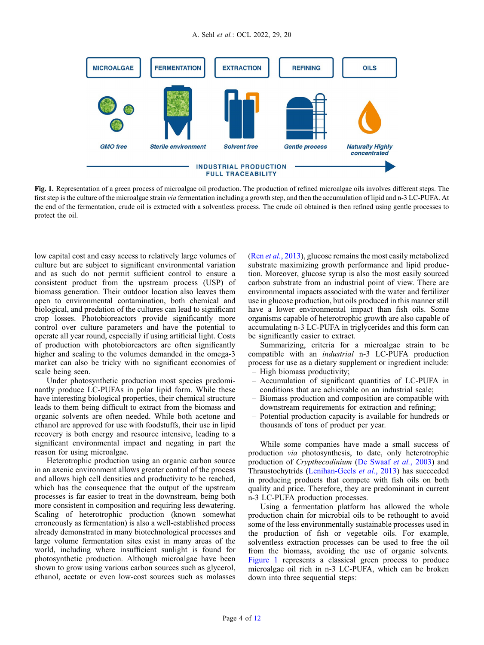

Fig. 1. Representation of a green process of microalgae oil production. The production of refined microalgae oils involves different steps. The first step is the culture of the microalgae strain *via* fermentation including a growth step, and then the accumulation of lipid and n-3 LC-PUFA. At the end of the fermentation, crude oil is extracted with a solventless process. The crude oil obtained is then refined using gentle processes to protect the oil.

low capital cost and easy access to relatively large volumes of culture but are subject to significant environmental variation and as such do not permit sufficient control to ensure a consistent product from the upstream process (USP) of biomass generation. Their outdoor location also leaves them open to environmental contamination, both chemical and biological, and predation of the cultures can lead to significant crop losses. Photobioreactors provide significantly more control over culture parameters and have the potential to operate all year round, especially if using artificial light. Costs of production with photobioreactors are often significantly higher and scaling to the volumes demanded in the omega-3 market can also be tricky with no significant economies of scale being seen.

Under photosynthetic production most species predominantly produce LC-PUFAs in polar lipid form. While these have interesting biological properties, their chemical structure leads to them being difficult to extract from the biomass and organic solvents are often needed. While both acetone and ethanol are approved for use with foodstuffs, their use in lipid recovery is both energy and resource intensive, leading to a significant environmental impact and negating in part the reason for using microalgae.

Heterotrophic production using an organic carbon source in an axenic environment allows greater control of the process and allows high cell densities and productivity to be reached, which has the consequence that the output of the upstream processes is far easier to treat in the downstream, being both more consistent in composition and requiring less dewatering. Scaling of heterotrophic production (known somewhat erroneously as fermentation) is also a well-established process already demonstrated in many biotechnological processes and large volume fermentation sites exist in many areas of the world, including where insufficient sunlight is found for photosynthetic production. Although microalgae have been shown to grow using various carbon sources such as glycerol, ethanol, acetate or even low-cost sources such as molasses (Ren et al.[, 2013](#page-11-0)), glucose remains the most easily metabolized substrate maximizing growth performance and lipid production. Moreover, glucose syrup is also the most easily sourced carbon substrate from an industrial point of view. There are environmental impacts associated with the water and fertilizer use in glucose production, but oils produced in this manner still have a lower environmental impact than fish oils. Some organisms capable of heterotrophic growth are also capable of accumulating n-3 LC-PUFA in triglycerides and this form can be significantly easier to extract.

Summarizing, criteria for a microalgae strain to be compatible with an industrial n-3 LC-PUFA production process for use as a dietary supplement or ingredient include: – High biomass productivity;

- 
- Accumulation of significant quantities of LC-PUFA in conditions that are achievable on an industrial scale;
- Biomass production and composition are compatible with downstream requirements for extraction and refining;
- Potential production capacity is available for hundreds or thousands of tons of product per year.

While some companies have made a small success of production via photosynthesis, to date, only heterotrophic production of Crypthecodinium [\(De Swaaf](#page-10-0) et al., 2003) and Thraustochytrids ([Lenihan-Geels](#page-10-0) et al., 2013) has succeeded in producing products that compete with fish oils on both quality and price. Therefore, they are predominant in current n-3 LC-PUFA production processes.

Using a fermentation platform has allowed the whole production chain for microbial oils to be rethought to avoid some of the less environmentally sustainable processes used in the production of fish or vegetable oils. For example, solventless extraction processes can be used to free the oil from the biomass, avoiding the use of organic solvents. Figure 1 represents a classical green process to produce microalgae oil rich in n-3 LC-PUFA, which can be broken down into three sequential steps: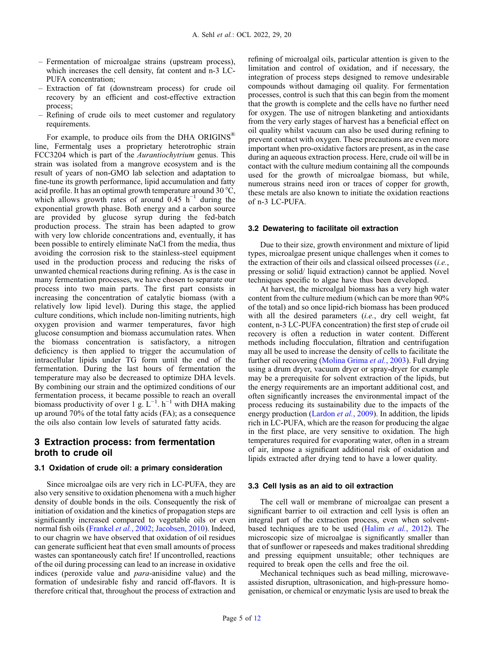- Fermentation of microalgae strains (upstream process), which increases the cell density, fat content and n-3 LC-PUFA concentration;
- Extraction of fat (downstream process) for crude oil recovery by an efficient and cost-effective extraction process;
- Refining of crude oils to meet customer and regulatory requirements.

For example, to produce oils from the DHA ORIGINS<sup>®</sup> line, Fermentalg uses a proprietary heterotrophic strain FCC3204 which is part of the Aurantiochytrium genus. This strain was isolated from a mangrove ecosystem and is the result of years of non-GMO lab selection and adaptation to fine-tune its growth performance, lipid accumulation and fatty acid profile. It has an optimal growth temperature around 30 °C, which allows growth rates of around 0.45 h<sup>-1</sup> during the exponential growth phase. Both energy and a carbon source are provided by glucose syrup during the fed-batch production process. The strain has been adapted to grow with very low chloride concentrations and, eventually, it has been possible to entirely eliminate NaCl from the media, thus avoiding the corrosion risk to the stainless-steel equipment used in the production process and reducing the risks of unwanted chemical reactions during refining. As is the case in many fermentation processes, we have chosen to separate our process into two main parts. The first part consists in increasing the concentration of catalytic biomass (with a relatively low lipid level). During this stage, the applied culture conditions, which include non-limiting nutrients, high oxygen provision and warmer temperatures, favor high glucose consumption and biomass accumulation rates. When the biomass concentration is satisfactory, a nitrogen deficiency is then applied to trigger the accumulation of intracellular lipids under TG form until the end of the fermentation. During the last hours of fermentation the temperature may also be decreased to optimize DHA levels. By combining our strain and the optimized conditions of our fermentation process, it became possible to reach an overall biomass productivity of over 1 g.  $L^{-1}$ . h<sup>-1</sup> with DHA making up around 70% of the total fatty acids (FA); as a consequence the oils also contain low levels of saturated fatty acids.

## 3 Extraction process: from fermentation broth to crude oil

#### 3.1 Oxidation of crude oil: a primary consideration

Since microalgae oils are very rich in LC-PUFA, they are also very sensitive to oxidation phenomena with a much higher density of double bonds in the oils. Consequently the risk of initiation of oxidation and the kinetics of propagation steps are significantly increased compared to vegetable oils or even normal fish oils ([Frankel](#page-10-0) et al., 2002; [Jacobsen, 2010](#page-10-0)). Indeed, to our chagrin we have observed that oxidation of oil residues can generate sufficient heat that even small amounts of process wastes can spontaneously catch fire! If uncontrolled, reactions of the oil during processing can lead to an increase in oxidative indices (peroxide value and para-anisidine value) and the formation of undesirable fishy and rancid off-flavors. It is therefore critical that, throughout the process of extraction and refining of microalgal oils, particular attention is given to the limitation and control of oxidation, and if necessary, the integration of process steps designed to remove undesirable compounds without damaging oil quality. For fermentation processes, control is such that this can begin from the moment that the growth is complete and the cells have no further need for oxygen. The use of nitrogen blanketing and antioxidants from the very early stages of harvest has a beneficial effect on oil quality whilst vacuum can also be used during refining to prevent contact with oxygen. These precautions are even more important when pro-oxidative factors are present, as in the case during an aqueous extraction process. Here, crude oil will be in contact with the culture medium containing all the compounds used for the growth of microalgae biomass, but while, numerous strains need iron or traces of copper for growth, these metals are also known to initiate the oxidation reactions of n-3 LC-PUFA.

#### 3.2 Dewatering to facilitate oil extraction

Due to their size, growth environment and mixture of lipid types, microalgae present unique challenges when it comes to the extraction of their oils and classical oilseed processes  $(i.e.,$ pressing or solid/ liquid extraction) cannot be applied. Novel techniques specific to algae have thus been developed.

At harvest, the microalgal biomass has a very high water content from the culture medium (which can be more than 90% of the total) and so once lipid-rich biomass has been produced with all the desired parameters (i.e., dry cell weight, fat content, n-3 LC-PUFA concentration) the first step of crude oil recovery is often a reduction in water content. Different methods including flocculation, filtration and centrifugation may all be used to increase the density of cells to facilitate the further oil recovering [\(Molina Grima](#page-11-0) et al., 2003). Full drying using a drum dryer, vacuum dryer or spray-dryer for example may be a prerequisite for solvent extraction of the lipids, but the energy requirements are an important additional cost, and often significantly increases the environmental impact of the process reducing its sustainability due to the impacts of the energy production ([Lardon](#page-10-0) *et al.*, 2009). In addition, the lipids rich in LC-PUFA, which are the reason for producing the algae in the first place, are very sensitive to oxidation. The high temperatures required for evaporating water, often in a stream of air, impose a significant additional risk of oxidation and lipids extracted after drying tend to have a lower quality.

#### 3.3 Cell lysis as an aid to oil extraction

The cell wall or membrane of microalgae can present a significant barrier to oil extraction and cell lysis is often an integral part of the extraction process, even when solventbased techniques are to be used (Halim et al.[, 2012\)](#page-10-0). The microscopic size of microalgae is significantly smaller than that of sunflower or rapeseeds and makes traditional shredding and pressing equipment unsuitable; other techniques are required to break open the cells and free the oil.

Mechanical techniques such as bead milling, microwaveassisted disruption, ultrasonication, and high-pressure homogenisation, or chemical or enzymatic lysis are used to break the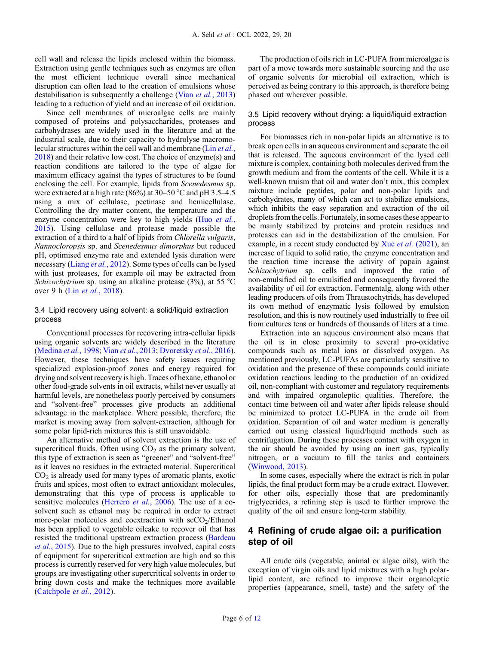cell wall and release the lipids enclosed within the biomass. Extraction using gentle techniques such as enzymes are often the most efficient technique overall since mechanical disruption can often lead to the creation of emulsions whose destabilisation is subsequently a challenge (Vian et al.[, 2013\)](#page-11-0) leading to a reduction of yield and an increase of oil oxidation.

Since cell membranes of microalgae cells are mainly composed of proteins and polysaccharides, proteases and carbohydrases are widely used in the literature and at the industrial scale, due to their capacity to hydrolyse macromolecular structures within the cell wall and membrane (Lin *[et al.](#page-10-0)*, [2018](#page-10-0)) and their relative low cost. The choice of enzyme(s) and reaction conditions are tailored to the type of algae for maximum efficacy against the types of structures to be found enclosing the cell. For example, lipids from Scenedesmus sp. were extracted at a high rate (86%) at  $30-50$  °C and pH 3.5–4.5 using a mix of cellulase, pectinase and hemicellulase. Controlling the dry matter content, the temperature and the enzyme concentration were key to high yields (Huo [et al.](#page-10-0), [2015](#page-10-0)). Using cellulase and protease made possible the extraction of a third to a half of lipids from Chlorella vulgaris, Nannocloropsis sp. and Scenedesmus dimorphus but reduced pH, optimised enzyme rate and extended lysis duration were necessary (Liang et al.[, 2012\)](#page-10-0). Some types of cells can be lysed with just proteases, for example oil may be extracted from Schizochytrium sp. using an alkaline protease (3%), at 55  $^{\circ}$ C over 9 h (Lin *et al.*[, 2018](#page-10-0)).

## 3.4 Lipid recovery using solvent: a solid/liquid extraction process

Conventional processes for recovering intra-cellular lipids using organic solvents are widely described in the literature ([Medina](#page-11-0) et al., 1998; Vian et al.[, 2013;](#page-11-0) [Dvoretsky](#page-10-0) et al., 2016). However, these techniques have safety issues requiring specialized explosion-proof zones and energy required for drying and solvent recovery is high. Traces of hexane, ethanol or other food-grade solvents in oil extracts, whilst never usually at harmful levels, are nonetheless poorly perceived by consumers and "solvent-free" processes give products an additional advantage in the marketplace. Where possible, therefore, the market is moving away from solvent-extraction, although for some polar lipid-rich mixtures this is still unavoidable.

An alternative method of solvent extraction is the use of supercritical fluids. Often using  $CO<sub>2</sub>$  as the primary solvent, this type of extraction is seen as "greener" and "solvent-free" as it leaves no residues in the extracted material. Supercritical  $CO<sub>2</sub>$  is already used for many types of aromatic plants, exotic fruits and spices, most often to extract antioxidant molecules, demonstrating that this type of process is applicable to sensitive molecules ([Herrero](#page-10-0) et al., 2006). The use of a cosolvent such as ethanol may be required in order to extract more-polar molecules and coextraction with  $\frac{\text{scCO}_{2}}{\text{Ethanol}}$ has been applied to vegetable oilcake to recover oil that has resisted the traditional upstream extraction process ([Bardeau](#page-10-0) et al.[, 2015\)](#page-10-0). Due to the high pressures involved, capital costs of equipment for supercritical extraction are high and so this process is currently reserved for very high value molecules, but groups are investigating other supercritical solvents in order to bring down costs and make the techniques more available ([Catchpole](#page-10-0) et al., 2012).

The production of oils rich in LC-PUFA from microalgae is part of a move towards more sustainable sourcing and the use of organic solvents for microbial oil extraction, which is perceived as being contrary to this approach, is therefore being phased out wherever possible.

### 3.5 Lipid recovery without drying: a liquid/liquid extraction process

For biomasses rich in non-polar lipids an alternative is to break open cells in an aqueous environment and separate the oil that is released. The aqueous environment of the lysed cell mixture is complex, containing both molecules derived from the growth medium and from the contents of the cell. While it is a well-known truism that oil and water don't mix, this complex mixture include peptides, polar and non-polar lipids and carbohydrates, many of which can act to stabilize emulsions, which inhibits the easy separation and extraction of the oil droplets from the cells. Fortunately, in some cases these appear to be mainly stabilized by proteins and protein residues and proteases can aid in the destabilization of the emulsion. For example, in a recent study conducted by Xue et al. [\(2021\)](#page-11-0), an increase of liquid to solid ratio, the enzyme concentration and the reaction time increase the activity of papain against Schizochytrium sp. cells and improved the ratio of non-emulsified oil to emulsified and consequently favored the availability of oil for extraction. Fermentalg, along with other leading producers of oils from Thraustochytrids, has developed its own method of enzymatic lysis followed by emulsion resolution, and this is now routinely used industrially to free oil from cultures tens or hundreds of thousands of liters at a time.

Extraction into an aqueous environment also means that the oil is in close proximity to several pro-oxidative compounds such as metal ions or dissolved oxygen. As mentioned previously, LC-PUFAs are particularly sensitive to oxidation and the presence of these compounds could initiate oxidation reactions leading to the production of an oxidized oil, non-compliant with customer and regulatory requirements and with impaired organoleptic qualities. Therefore, the contact time between oil and water after lipids release should be minimized to protect LC-PUFA in the crude oil from oxidation. Separation of oil and water medium is generally carried out using classical liquid/liquid methods such as centrifugation. During these processes contact with oxygen in the air should be avoided by using an inert gas, typically nitrogen, or a vacuum to fill the tanks and containers ([Winwood, 2013](#page-11-0)).

In some cases, especially where the extract is rich in polar lipids, the final product form may be a crude extract. However, for other oils, especially those that are predominantly triglycerides, a refining step is used to further improve the quality of the oil and ensure long-term stability.

## 4 Refining of crude algae oil: a purification step of oil

All crude oils (vegetable, animal or algae oils), with the exception of virgin oils and lipid mixtures with a high polarlipid content, are refined to improve their organoleptic properties (appearance, smell, taste) and the safety of the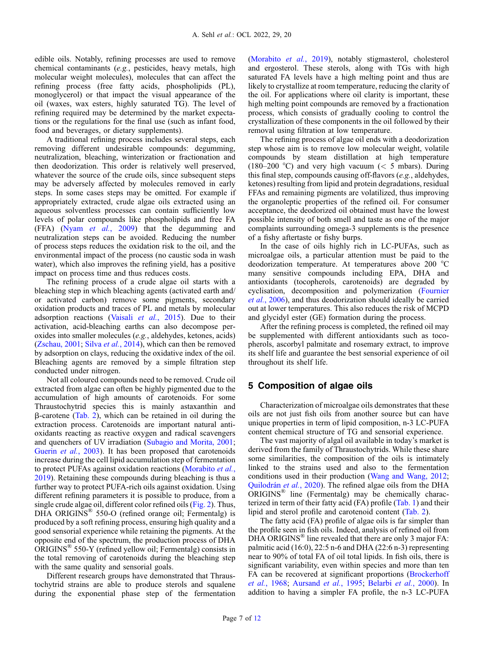edible oils. Notably, refining processes are used to remove chemical contaminants (e.g., pesticides, heavy metals, high molecular weight molecules), molecules that can affect the refining process (free fatty acids, phospholipids (PL), monoglycerol) or that impact the visual appearance of the oil (waxes, wax esters, highly saturated TG). The level of refining required may be determined by the market expectations or the regulations for the final use (such as infant food, food and beverages, or dietary supplements).

A traditional refining process includes several steps, each removing different undesirable compounds: degumming, neutralization, bleaching, winterization or fractionation and then deodorization. This order is relatively well preserved, whatever the source of the crude oils, since subsequent steps may be adversely affected by molecules removed in early steps. In some cases steps may be omitted. For example if appropriately extracted, crude algae oils extracted using an aqueous solventless processes can contain sufficiently low levels of polar compounds like phospholipids and free FA (FFA) (Nyam et al.[, 2009\)](#page-11-0) that the degumming and neutralization steps can be avoided. Reducing the number of process steps reduces the oxidation risk to the oil, and the environmental impact of the process (no caustic soda in wash water), which also improves the refining yield, has a positive impact on process time and thus reduces costs.

The refining process of a crude algae oil starts with a bleaching step in which bleaching agents (activated earth and/ or activated carbon) remove some pigments, secondary oxidation products and traces of PL and metals by molecular adsorption reactions (Vaisali et al.[, 2015](#page-11-0)). Due to their activation, acid-bleaching earths can also decompose peroxides into smaller molecules (e.g., aldehydes, ketones, acids) ([Zschau, 2001](#page-11-0); Silva et al.[, 2014](#page-11-0)), which can then be removed by adsorption on clays, reducing the oxidative index of the oil. Bleaching agents are removed by a simple filtration step conducted under nitrogen.

Not all coloured compounds need to be removed. Crude oil extracted from algae can often be highly pigmented due to the accumulation of high amounts of carotenoids. For some Thraustochytrid species this is mainly astaxanthin and  $\beta$ -carotene ([Tab. 2\)](#page-7-0), which can be retained in oil during the extraction process. Carotenoids are important natural antioxidants reacting as reactive oxygen and radical scavengers and quenchers of UV irradiation ([Subagio and Morita, 2001](#page-11-0); [Guerin](#page-10-0) *et al.*, 2003). It has been proposed that carotenoids increase during the cell lipid accumulation step of fermentation to protect PUFAs against oxidation reactions ([Morabito](#page-11-0) et al., [2019](#page-11-0)). Retaining these compounds during bleaching is thus a further way to protect PUFA-rich oils against oxidation. Using different refining parameters it is possible to produce, from a single crude algae oil, different color refined oils [\(Fig. 2\)](#page-7-0). Thus, DHA ORIGINS<sup>®</sup> 550-O (refined orange oil; Fermentalg) is produced by a soft refining process, ensuring high quality and a good sensorial experience while retaining the pigments. At the opposite end of the spectrum, the production process of DHA ORIGINS® 550-Y (refined yellow oil; Fermentalg) consists in the total removing of carotenoids during the bleaching step with the same quality and sensorial goals.

Different research groups have demonstrated that Thraustochytrid strains are able to produce sterols and squalene during the exponential phase step of the fermentation

([Morabito](#page-11-0) et al., 2019), notably stigmasterol, cholesterol and ergosterol. These sterols, along with TGs with high saturated FA levels have a high melting point and thus are likely to crystallize at room temperature, reducing the clarity of the oil. For applications where oil clarity is important, these high melting point compounds are removed by a fractionation process, which consists of gradually cooling to control the crystallization of these components in the oil followed by their removal using filtration at low temperature.

The refining process of algae oil ends with a deodorization step whose aim is to remove low molecular weight, volatile compounds by steam distillation at high temperature (180–200 °C) and very high vacuum ( $<$  5 mbars). During this final step, compounds causing off-flavors (e.g., aldehydes, ketones) resulting from lipid and protein degradations, residual FFAs and remaining pigments are volatilized, thus improving the organoleptic properties of the refined oil. For consumer acceptance, the deodorized oil obtained must have the lowest possible intensity of both smell and taste as one of the major complaints surrounding omega-3 supplements is the presence of a fishy aftertaste or fishy burps.

In the case of oils highly rich in LC-PUFAs, such as microalgae oils, a particular attention must be paid to the deodorization temperature. At temperatures above 200 °C many sensitive compounds including EPA, DHA and antioxidants (tocopherols, carotenoids) are degraded by cyclisation, decomposition and polymerization [\(Fournier](#page-10-0) et al.[, 2006\)](#page-10-0), and thus deodorization should ideally be carried out at lower temperatures. This also reduces the risk of MCPD and glycidyl ester (GE) formation during the process.

After the refining process is completed, the refined oil may be supplemented with different antioxidants such as tocopherols, ascorbyl palmitate and rosemary extract, to improve its shelf life and guarantee the best sensorial experience of oil throughout its shelf life.

## 5 Composition of algae oils

Characterization of microalgae oils demonstrates that these oils are not just fish oils from another source but can have unique properties in term of lipid composition, n-3 LC-PUFA content chemical structure of TG and sensorial experience.

The vast majority of algal oil available in today's market is derived from the family of Thraustochytrids. While these share some similarities, the composition of the oils is intimately linked to the strains used and also to the fermentation conditions used in their production [\(Wang and Wang, 2012;](#page-11-0) [Quilodrán](#page-11-0) et al., 2020). The refined algae oils from the DHA  $ORIGINS^<sup>®</sup>$  line (Fermentalg) may be chemically characterized in term of their fatty acid (FA) profile ([Tab. 1](#page-7-0)) and their lipid and sterol profile and carotenoid content ([Tab. 2](#page-7-0)).

The fatty acid (FA) profile of algae oils is far simpler than the profile seen in fish oils. Indeed, analysis of refined oil from DHA ORIGINS® line revealed that there are only 3 major FA: palmitic acid  $(16:0)$ , 22:5 n-6 and DHA  $(22:6 n-3)$  representing near to 90% of total FA of oil total lipids. In fish oils, there is significant variability, even within species and more than ten FA can be recovered at significant proportions [\(Brockerhoff](#page-10-0) et al.[, 1968](#page-10-0); [Aursand](#page-9-0) et al., 1995; [Belarbi](#page-10-0) et al., 2000). In addition to having a simpler FA profile, the n-3 LC-PUFA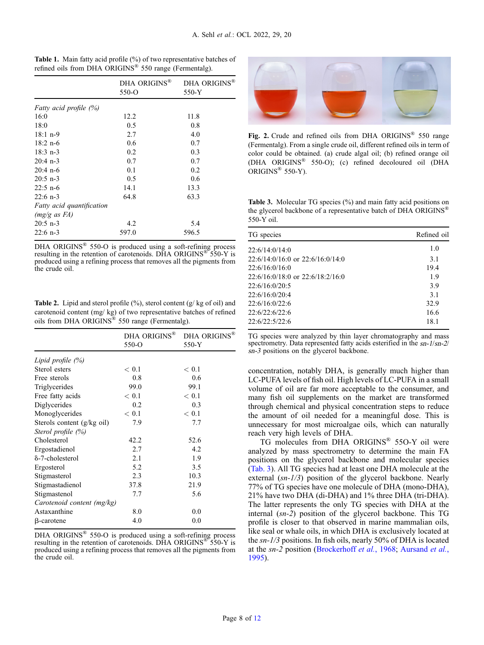|                               | DHA ORIGINS®<br>$550-o$ | DHA ORIGINS®<br>550-Y |
|-------------------------------|-------------------------|-----------------------|
| <i>Fatty acid profile (%)</i> |                         |                       |
| 16:0                          | 12.2                    | 11.8                  |
| 18:0                          | 0.5                     | 0.8                   |
| $18:1$ n-9                    | 2.7                     | 4.0                   |
| $18:2$ n-6                    | 0.6                     | 0.7                   |
| $18:3$ n-3                    | 0.2                     | 0.3                   |
| $20:4$ n-3                    | 0.7                     | 0.7                   |
| $20:4$ n-6                    | 0.1                     | 0.2                   |
| $20:5$ n-3                    | 0.5                     | 0.6                   |
| $22:5$ n-6                    | 14.1                    | 13.3                  |
| $22:6$ n-3                    | 64.8                    | 63.3                  |
| Fatty acid quantification     |                         |                       |
| $(mg/g \text{ as } FA)$       |                         |                       |
| $20:5$ n-3                    | 4.2                     | 5.4                   |
| $22:6$ n-3                    | 597.0                   | 596.5                 |

<span id="page-7-0"></span>

|                                                                    | <b>Table 1.</b> Main fatty acid profile (%) of two representative batches of |
|--------------------------------------------------------------------|------------------------------------------------------------------------------|
| refined oils from DHA ORIGINS <sup>®</sup> 550 range (Fermentalg). |                                                                              |

DHA ORIGINS<sup>®</sup> 550-O is produced using a soft-refining process resulting in the retention of carotenoids. DHA ORIGINS<sup>®</sup> 550-Y is produced using a refining process that removes all the pigments from the crude oil.

**Table 2.** Lipid and sterol profile  $(\%)$ , sterol content  $(g/\text{kg of oil})$  and carotenoid content (mg/ kg) of two representative batches of refined oils from DHA ORIGINS® 550 range (Fermentalg).

|                            | DHA ORIGINS <sup>®</sup><br>$550-o$ | DHA ORIGINS <sup>®</sup><br>550-Y |
|----------------------------|-------------------------------------|-----------------------------------|
| Lipid profile $(\%)$       |                                     |                                   |
| Sterol esters              | < 0.1                               | < 0.1                             |
| Free sterols               | 0.8                                 | 0.6                               |
| Triglycerides              | 99.0                                | 99.1                              |
| Free fatty acids           | < 0.1                               | < 0.1                             |
| Diglycerides               | 0.2                                 | 0.3                               |
| Monoglycerides             | < 0.1                               | < 0.1                             |
| Sterols content (g/kg oil) | 7.9                                 | 7.7                               |
| Sterol profile (%)         |                                     |                                   |
| Cholesterol                | 42.2                                | 52.6                              |
| Ergostadienol              | 2.7                                 | 4.2                               |
| δ-7-cholesterol            | 2.1                                 | 1.9                               |
| Ergosterol                 | 5.2                                 | 3.5                               |
| Stigmasterol               | 2.3                                 | 10.3                              |
| Stigmastadienol            | 37.8                                | 21.9                              |
| Stigmastenol               | 7.7                                 | 5.6                               |
| Carotenoid content (mg/kg) |                                     |                                   |
| Astaxanthine               | 8.0                                 | 0.0                               |
| β-carotene                 | 4.0                                 | 0.0                               |

DHA ORIGINS<sup>®</sup> 550-O is produced using a soft-refining process resulting in the retention of carotenoids. DHA ORIGINS<sup>®</sup> 550-Y is produced using a refining process that removes all the pigments from the crude oil.



Fig. 2. Crude and refined oils from DHA ORIGINS® 550 range (Fermentalg). From a single crude oil, different refined oils in term of color could be obtained. (a) crude algal oil; (b) refined orange oil (DHA ORIGINS® 550-O); (c) refined decoloured oil (DHA ORIGINS® 550-Y).

Table 3. Molecular TG species (%) and main fatty acid positions on the glycerol backbone of a representative batch of DHA ORIGINS<sup>®</sup> 550-Y oil.

| TG species                           | Refined oil |
|--------------------------------------|-------------|
| 22:6/14:0/14:0                       | 1.0         |
| $22:6/14:0/16:0$ or $22:6/16:0/14:0$ | 3.1         |
| 22:6/16:0/16:0                       | 19.4        |
| $22:6/16:0/18:0$ or $22:6/18:2/16:0$ | 1.9         |
| 22:6/16:0/20:5                       | 3.9         |
| 22:6/16:0/20:4                       | 3.1         |
| 22.6/16.0/22.6                       | 32.9        |
| 22:6/22:6/22:6                       | 16.6        |
| 22:6/22:5/22:6                       | 18.1        |

TG species were analyzed by thin layer chromatography and mass spectrometry. Data represented fatty acids esterified in the sn-1/sn-2/ sn-3 positions on the glycerol backbone.

concentration, notably DHA, is generally much higher than LC-PUFA levels of fish oil. High levels of LC-PUFA in a small volume of oil are far more acceptable to the consumer, and many fish oil supplements on the market are transformed through chemical and physical concentration steps to reduce the amount of oil needed for a meaningful dose. This is unnecessary for most microalgae oils, which can naturally reach very high levels of DHA.

TG molecules from DHA ORIGINS® 55O-Y oil were analyzed by mass spectrometry to determine the main FA positions on the glycerol backbone and molecular species (Tab. 3). All TG species had at least one DHA molecule at the external (sn-1/3) position of the glycerol backbone. Nearly 77% of TG species have one molecule of DHA (mono-DHA), 21% have two DHA (di-DHA) and 1% three DHA (tri-DHA). The latter represents the only TG species with DHA at the internal (sn-2) position of the glycerol backbone. This TG profile is closer to that observed in marine mammalian oils, like seal or whale oils, in which DHA is exclusively located at the sn-1/3 positions. In fish oils, nearly 50% of DHA is located at the sn-2 position ([Brockerhoff](#page-10-0) et al., 1968; [Aursand](#page-9-0) et al., [1995](#page-9-0)).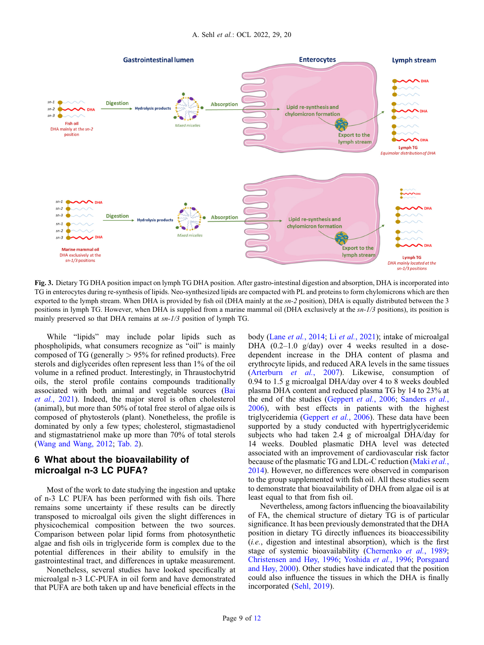<span id="page-8-0"></span>

Fig. 3. Dietary TG DHA position impact on lymph TG DHA position. After gastro-intestinal digestion and absorption, DHA is incorporated into TG in enterocytes during re-synthesis of lipids. Neo-synthesized lipids are compacted with PL and proteins to form chylomicrons which are then exported to the lymph stream. When DHA is provided by fish oil (DHA mainly at the  $sn-2$  position), DHA is equally distributed between the 3 positions in lymph TG. However, when DHA is supplied from a marine mammal oil (DHA exclusively at the  $sn-1/3$  positions), its position is mainly preserved so that DHA remains at sn-1/3 position of lymph TG.

While "lipids" may include polar lipids such as phospholipids, what consumers recognize as "oil" is mainly composed of TG (generally  $> 95\%$  for refined products). Free sterols and diglycerides often represent less than 1% of the oil volume in a refined product. Interestingly, in Thraustochytrid oils, the sterol profile contains compounds traditionally associated with both animal and vegetable sources [\(Bai](#page-10-0) et al.[, 2021](#page-10-0)). Indeed, the major sterol is often cholesterol (animal), but more than 50% of total free sterol of algae oils is composed of phytosterols (plant). Nonetheless, the profile is dominated by only a few types; cholesterol, stigmastadienol and stigmastatrienol make up more than 70% of total sterols ([Wang and Wang, 2012;](#page-11-0) [Tab. 2](#page-7-0)).

## 6 What about the bioavailability of microalgal n-3 LC PUFA?

Most of the work to date studying the ingestion and uptake of n-3 LC PUFA has been performed with fish oils. There remains some uncertainty if these results can be directly transposed to microalgal oils given the slight differences in physicochemical composition between the two sources. Comparison between polar lipid forms from photosynthetic algae and fish oils in triglyceride form is complex due to the potential differences in their ability to emulsify in the gastrointestinal tract, and differences in uptake measurement.

Nonetheless, several studies have looked specifically at microalgal n-3 LC-PUFA in oil form and have demonstrated that PUFA are both taken up and have beneficial effects in the body (Lane *et al.*[, 2014;](#page-10-0) Li *et al.*[, 2021\)](#page-10-0); intake of microalgal DHA (0.2–1.0 g/day) over 4 weeks resulted in a dosedependent increase in the DHA content of plasma and erythrocyte lipids, and reduced ARA levels in the same tissues ([Arterburn](#page-9-0) et al., 2007). Likewise, consumption of 0.94 to 1.5 g microalgal DHA/day over 4 to 8 weeks doubled plasma DHA content and reduced plasma TG by 14 to 23% at the end of the studies [\(Geppert](#page-10-0) *et al.*, 2006; [Sanders](#page-11-0) *et al.*, [2006](#page-11-0)), with best effects in patients with the highest triglyceridemia [\(Geppert](#page-10-0) et al., 2006). These data have been supported by a study conducted with hypertriglyceridemic subjects who had taken 2.4 g of microalgal DHA/day for 14 weeks. Doubled plasmatic DHA level was detected associated with an improvement of cardiovascular risk factor because of the plasmatic TG and LDL-C reduction [\(Maki](#page-11-0) et al., [2014](#page-11-0)). However, no differences were observed in comparison to the group supplemented with fish oil. All these studies seem to demonstrate that bioavailability of DHA from algae oil is at least equal to that from fish oil.

Nevertheless, among factors influencing the bioavailability of FA, the chemical structure of dietary TG is of particular significance. It has been previously demonstrated that the DHA position in dietary TG directly influences its bioaccessibility  $(i.e.,$  digestion and intestinal absorption), which is the first stage of systemic bioavailability ([Chernenko](#page-10-0) et al., 1989; [Christensen and Høy, 1996;](#page-10-0) [Yoshida](#page-11-0) et al., 1996; [Porsgaard](#page-11-0) [and Høy, 2000\)](#page-11-0). Other studies have indicated that the position could also influence the tissues in which the DHA is finally incorporated [\(Sehl, 2019\)](#page-11-0).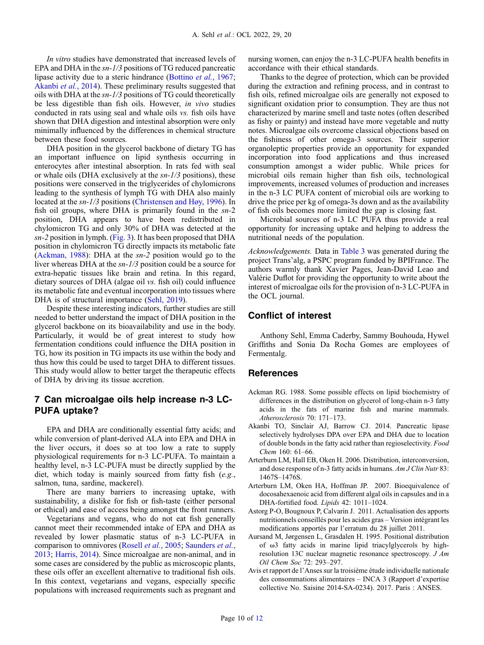<span id="page-9-0"></span>In vitro studies have demonstrated that increased levels of EPA and DHA in the  $sn-1/3$  positions of TG reduced pancreatic lipase activity due to a steric hindrance [\(Bottino](#page-10-0) et al., 1967; Akanbi et al., 2014). These preliminary results suggested that oils with DHA at the sn-1/3 positions of TG could theoretically be less digestible than fish oils. However, in vivo studies conducted in rats using seal and whale oils vs. fish oils have shown that DHA digestion and intestinal absorption were only minimally influenced by the differences in chemical structure between these food sources.

DHA position in the glycerol backbone of dietary TG has an important influence on lipid synthesis occurring in enterocytes after intestinal absorption. In rats fed with seal or whale oils (DHA exclusively at the sn-1/3 positions), these positions were conserved in the triglycerides of chylomicrons leading to the synthesis of lymph TG with DHA also mainly located at the sn-1/3 positions [\(Christensen and Høy, 1996](#page-10-0)). In fish oil groups, where DHA is primarily found in the sn-2 position, DHA appears to have been redistributed in chylomicron TG and only 30% of DHA was detected at the sn-2 position in lymph. ([Fig. 3](#page-8-0)). It has been proposed that DHA position in chylomicron TG directly impacts its metabolic fate (Ackman, 1988): DHA at the sn-2 position would go to the liver whereas DHA at the sn-1/3 position could be a source for extra-hepatic tissues like brain and retina. In this regard, dietary sources of DHA (algae oil vs. fish oil) could influence its metabolic fate and eventual incorporation into tissues where DHA is of structural importance [\(Sehl, 2019\)](#page-11-0).

Despite these interesting indicators, further studies are still needed to better understand the impact of DHA position in the glycerol backbone on its bioavailability and use in the body. Particularly, it would be of great interest to study how fermentation conditions could influence the DHA position in TG, how its position in TG impacts its use within the body and thus how this could be used to target DHA to different tissues. This study would allow to better target the therapeutic effects of DHA by driving its tissue accretion.

## 7 Can microalgae oils help increase n-3 LC-PUFA uptake?

EPA and DHA are conditionally essential fatty acids; and while conversion of plant-derived ALA into EPA and DHA in the liver occurs, it does so at too low a rate to supply physiological requirements for n-3 LC-PUFA. To maintain a healthy level, n-3 LC-PUFA must be directly supplied by the diet, which today is mainly sourced from fatty fish (e.g., salmon, tuna, sardine, mackerel).

There are many barriers to increasing uptake, with sustainability, a dislike for fish or fish-taste (either personal or ethical) and ease of access being amongst the front runners.

Vegetarians and vegans, who do not eat fish generally cannot meet their recommended intake of EPA and DHA as revealed by lower plasmatic status of n-3 LC-PUFA in comparison to omnivores ([Rosell](#page-11-0) et al., 2005; [Saunders](#page-11-0) et al., [2013](#page-11-0); [Harris, 2014](#page-10-0)). Since microalgae are non-animal, and in some cases are considered by the public as microscopic plants, these oils offer an excellent alternative to traditional fish oils. In this context, vegetarians and vegans, especially specific populations with increased requirements such as pregnant and nursing women, can enjoy the n-3 LC-PUFA health benefits in accordance with their ethical standards.

Thanks to the degree of protection, which can be provided during the extraction and refining process, and in contrast to fish oils, refined microalgae oils are generally not exposed to significant oxidation prior to consumption. They are thus not characterized by marine smell and taste notes (often described as fishy or painty) and instead have more vegetable and nutty notes. Microalgae oils overcome classical objections based on the fishiness of other omega-3 sources. Their superior organoleptic properties provide an opportunity for expanded incorporation into food applications and thus increased consumption amongst a wider public. While prices for microbial oils remain higher than fish oils, technological improvements, increased volumes of production and increases in the n-3 LC PUFA content of microbial oils are working to drive the price per kg of omega-3s down and as the availability of fish oils becomes more limited the gap is closing fast.

Microbial sources of n-3 LC PUFA thus provide a real opportunity for increasing uptake and helping to address the nutritional needs of the population.

Acknowledgements. Data in [Table 3](#page-7-0) was generated during the project Trans'alg, a PSPC program funded by BPIFrance. The authors warmly thank Xavier Pages, Jean-David Leao and Valérie Duflot for providing the opportunity to write about the interest of microalgae oils for the provision of n-3 LC-PUFA in the OCL journal.

## Conflict of interest

Anthony Sehl, Emma Caderby, Sammy Bouhouda, Hywel Griffiths and Sonia Da Rocha Gomes are employees of Fermentalg.

## References

- Ackman RG. 1988. Some possible effects on lipid biochemistry of differences in the distribution on glycerol of long-chain n-3 fatty acids in the fats of marine fish and marine mammals. Atherosclerosis 70: 171–173.
- Akanbi TO, Sinclair AJ, Barrow CJ. 2014. Pancreatic lipase selectively hydrolyses DPA over EPA and DHA due to location of double bonds in the fatty acid rather than regioselectivity. Food Chem 160: 61–66.
- Arterburn LM, Hall EB, Oken H. 2006. Distribution, interconversion, and dose response of n-3 fatty acids in humans. Am J Clin Nutr 83: 1467S–1476S.
- Arterburn LM, Oken HA, Hoffman JP. 2007. Bioequivalence of docosahexaenoic acid from different algal oils in capsules and in a DHA-fortified food. Lipids 42: 1011–1024.
- Astorg P-O, Bougnoux P, Calvarin J. 2011. Actualisation des apports nutritionnels conseillés pour les acides gras – Version intégrant les modifications apportés par l'erratum du 28 juillet 2011.
- Aursand M, Jørgensen L, Grasdalen H. 1995. Positional distribution of  $\omega$ 3 fatty acids in marine lipid triacylglycerols by highresolution 13C nuclear magnetic resonance spectroscopy. J Am Oil Chem Soc 72: 293–297.
- Avis et rapport de l'Anses sur la troisième étude individuelle nationale des consommations alimentaires – INCA 3 (Rapport d'expertise collective No. Saisine 2014-SA-0234). 2017. Paris : ANSES.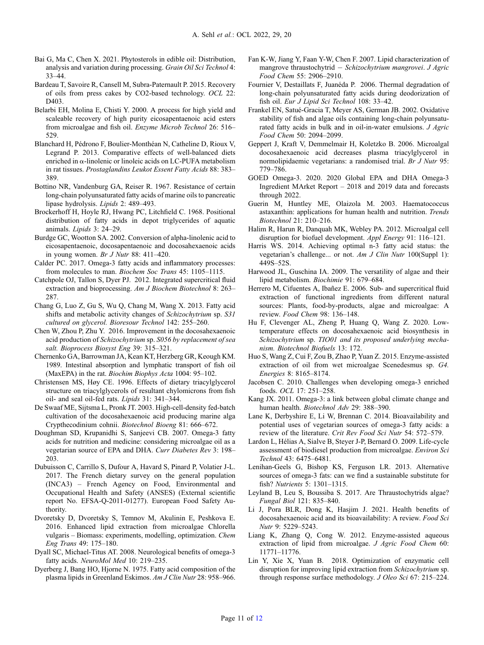- <span id="page-10-0"></span>Bai G, Ma C, Chen X. 2021. Phytosterols in edible oil: Distribution, analysis and variation during processing. Grain Oil Sci Technol 4: 33–44.
- Bardeau T, Savoire R, Cansell M, Subra-Paternault P. 2015. Recovery of oils from press cakes by CO2-based technology. OCL 22: D<sub>403</sub>.
- Belarbi EH, Molina E, Chisti Y. 2000. A process for high yield and scaleable recovery of high purity eicosapentaenoic acid esters from microalgae and fish oil. Enzyme Microb Technol 26: 516– 529.
- Blanchard H, Pédrono F, Boulier-Monthéan N, Catheline D, Rioux V, Legrand P. 2013. Comparative effects of well-balanced diets enriched in  $\alpha$ -linolenic or linoleic acids on LC-PUFA metabolism in rat tissues. Prostaglandins Leukot Essent Fatty Acids 88: 383– 389.
- Bottino NR, Vandenburg GA, Reiser R. 1967. Resistance of certain long-chain polyunsaturated fatty acids of marine oils to pancreatic lipase hydrolysis. Lipids 2: 489–493.
- Brockerhoff H, Hoyle RJ, Hwang PC, Litchfield C. 1968. Positional distribution of fatty acids in depot triglycerides of aquatic animals. Lipids 3: 24–29.
- Burdge GC, Wootton SA. 2002. Conversion of alpha-linolenic acid to eicosapentaenoic, docosapentaenoic and docosahexaenoic acids in young women. Br J Nutr 88: 411–420.
- Calder PC. 2017. Omega-3 fatty acids and inflammatory processes: from molecules to man. Biochem Soc Trans 45: 1105-1115.
- Catchpole OJ, Tallon S, Dyer PJ. 2012. Integrated supercritical fluid extraction and bioprocessing. Am J Biochem Biotechnol 8: 263– 287.
- Chang G, Luo Z, Gu S, Wu Q, Chang M, Wang X. 2013. Fatty acid shifts and metabolic activity changes of Schizochytrium sp. S31 cultured on glycerol. Bioresour Technol 142: 255–260.
- Chen W, Zhou P, Zhu Y. 2016. Improvement in the docosahexaenoic acid production of Schizochytrium sp. S056 by replacement of sea salt. Bioprocess Biosyst Eng 39: 315–321.
- Chernenko GA, Barrowman JA, Kean KT, Herzberg GR, Keough KM. 1989. Intestinal absorption and lymphatic transport of fish oil (MaxEPA) in the rat. Biochim Biophys Acta 1004: 95–102.
- Christensen MS, Høy CE. 1996. Effects of dietary triacylglycerol structure on triacylglycerols of resultant chylomicrons from fish oil- and seal oil-fed rats. Lipids 31: 341–344.
- De Swaaf ME, Sijtsma L, Pronk JT. 2003. High-cell-density fed-batch cultivation of the docosahexaenoic acid producing marine alga Crypthecodinium cohnii. Biotechnol Bioeng 81: 666–672.
- Doughman SD, Krupanidhi S, Sanjeevi CB. 2007. Omega-3 fatty acids for nutrition and medicine: considering microalgae oil as a vegetarian source of EPA and DHA. Curr Diabetes Rev 3: 198– 203.
- Dubuisson C, Carrillo S, Dufour A, Havard S, Pinard P, Volatier J-L. 2017. The French dietary survey on the general population (INCA3) – French Agency on Food, Environmental and Occupational Health and Safety (ANSES) (External scientific report No. EFSA-Q-2011-01277). European Food Safety Authority.
- Dvoretsky D, Dvoretsky S, Temnov M, Akulinin E, Peshkova E. 2016. Enhanced lipid extraction from microalgae Chlorella vulgaris – Biomass: experiments, modelling, optimization. Chem Eng Trans 49: 175–180.
- Dyall SC, Michael-Titus AT. 2008. Neurological benefits of omega-3 fatty acids. NeuroMol Med 10: 219–235.
- Dyerberg J, Bang HO, Hjorne N. 1975. Fatty acid composition of the plasma lipids in Greenland Eskimos. Am J Clin Nutr 28: 958–966.
- Fan K-W, Jiang Y, Faan Y-W, Chen F. 2007. Lipid characterization of mangrove thraustochytrid  $-$  Schizochytrium mangrovei. J Agric Food Chem 55: 2906–2910.
- Fournier V, Destaillats F, Juanéda P. 2006. Thermal degradation of long-chain polyunsaturated fatty acids during deodorization of fish oil. Eur J Lipid Sci Technol 108: 33-42.
- Frankel EN, Satué-Gracia T, Meyer AS, German JB. 2002. Oxidative stability of fish and algae oils containing long-chain polyunsaturated fatty acids in bulk and in oil-in-water emulsions. J Agric Food Chem 50: 2094–2099.
- Geppert J, Kraft V, Demmelmair H, Koletzko B. 2006. Microalgal docosahexaenoic acid decreases plasma triacylglycerol in normolipidaemic vegetarians: a randomised trial. Br J Nutr 95: 779–786.
- GOED Omega-3. 2020. 2020 Global EPA and DHA Omega-3 Ingredient MArket Report – 2018 and 2019 data and forecasts through 2022.
- Guerin M, Huntley ME, Olaizola M. 2003. Haematococcus astaxanthin: applications for human health and nutrition. Trends Biotechnol 21: 210–216.
- Halim R, Harun R, Danquah MK, Webley PA. 2012. Microalgal cell disruption for biofuel development. Appl Energy 91: 116–121.
- Harris WS. 2014. Achieving optimal n-3 fatty acid status: the vegetarian's challenge... or not. Am J Clin Nutr 100(Suppl 1): 449S–52S.
- Harwood JL, Guschina IA. 2009. The versatility of algae and their lipid metabolism. Biochimie 91: 679–684.
- Herrero M, Cifuentes A, Ibañez E. 2006. Sub- and supercritical fluid extraction of functional ingredients from different natural sources: Plants, food-by-products, algae and microalgae: A review. Food Chem 98: 136–148.
- Hu F, Clevenger AL, Zheng P, Huang Q, Wang Z. 2020. Lowtemperature effects on docosahexaenoic acid biosynthesis in Schizochytrium sp. TIO01 and its proposed underlying mechanism. Biotechnol Biofuels 13: 172.
- Huo S, Wang Z, Cui F, Zou B, Zhao P, Yuan Z. 2015. Enzyme-assisted extraction of oil from wet microalgae Scenedesmus sp. G4. Energies 8: 8165–8174.
- Jacobsen C. 2010. Challenges when developing omega-3 enriched foods. OCL 17: 251–258.
- Kang JX. 2011. Omega-3: a link between global climate change and human health. Biotechnol Adv 29: 388–390.
- Lane K, Derbyshire E, Li W, Brennan C. 2014. Bioavailability and potential uses of vegetarian sources of omega-3 fatty acids: a review of the literature. Crit Rev Food Sci Nutr 54: 572–579.
- Lardon L, Hélias A, Sialve B, Steyer J-P, Bernard O. 2009. Life-cycle assessment of biodiesel production from microalgae. Environ Sci Technol 43: 6475–6481.
- Lenihan-Geels G, Bishop KS, Ferguson LR. 2013. Alternative sources of omega-3 fats: can we find a sustainable substitute for fish? Nutrients 5: 1301–1315.
- Leyland B, Leu S, Boussiba S. 2017. Are Thraustochytrids algae? Fungal Biol 121: 835–840.
- Li J, Pora BLR, Dong K, Hasjim J. 2021. Health benefits of docosahexaenoic acid and its bioavailability: A review. Food Sci Nutr 9: 5229–5243.
- Liang K, Zhang Q, Cong W. 2012. Enzyme-assisted aqueous extraction of lipid from microalgae. J Agric Food Chem 60: 11771–11776.
- Lin Y, Xie X, Yuan B. 2018. Optimization of enzymatic cell disruption for improving lipid extraction from Schizochytrium sp. through response surface methodology. J Oleo Sci 67: 215–224.